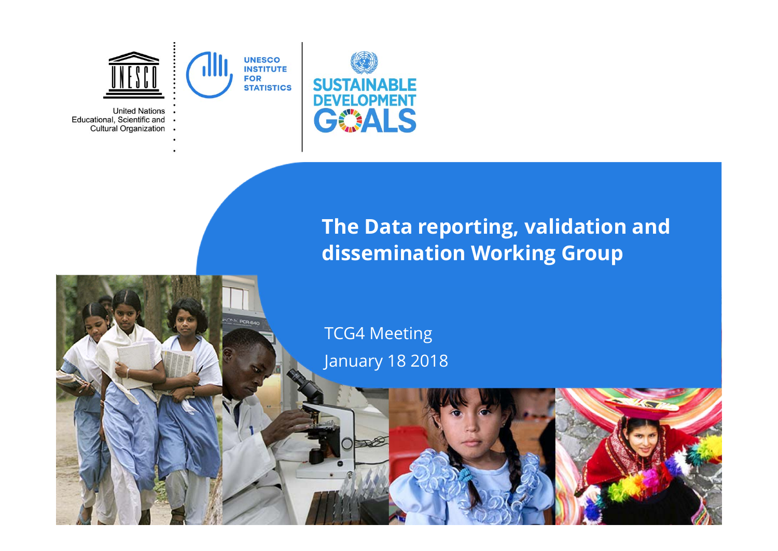

# **The Data reporting, validation and dissemination Working Group**

#### TCG4 Meeting January 18 2018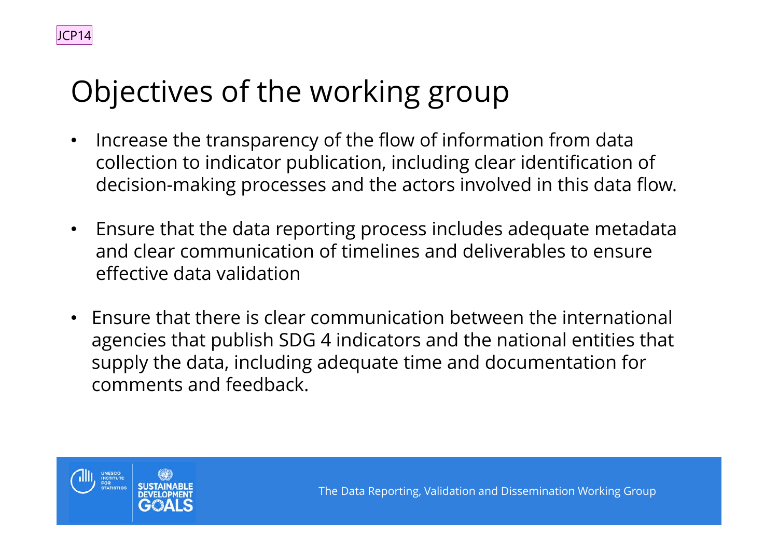# Objectives of the working group

- • Increase the transparency of the flow of information from data collection to indicator publication, including clear identification of decision-making processes and the actors involved in this data flow.
- Ensure that the data reporting process includes adequate metadata and clear communication of timelines and deliverables to ensure effective data validation
- Ensure that there is clear communication between the international agencies that publish SDG 4 indicators and the national entities that supply the data, including adequate time and documentation for comments and feedback.



JCP14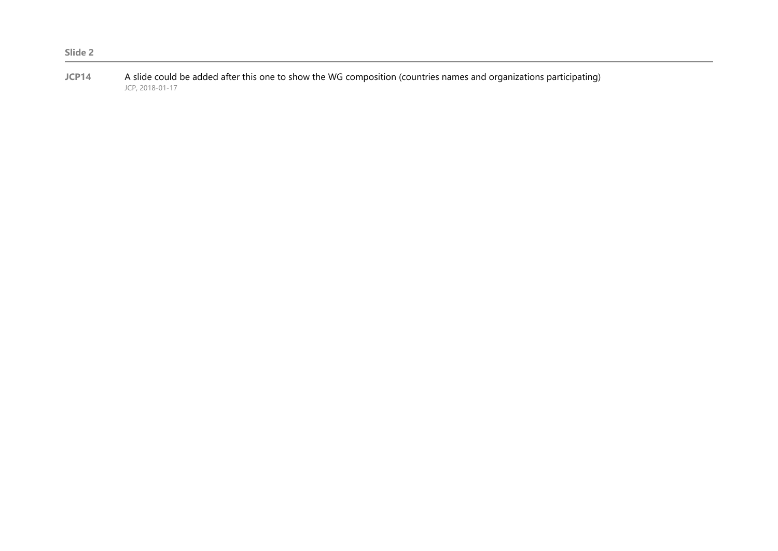**Slide 2**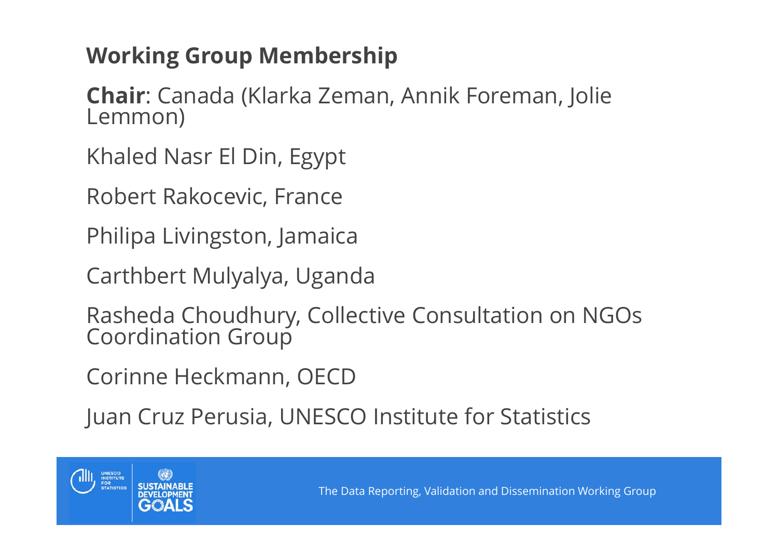# **Working Group Membership**

**Chair**: Canada (Klarka Zeman, Annik Foreman, Jolie Lemmon)

Khaled Nasr El Din, Egypt

Robert Rakocevic, France

Philipa Livingston, Jamaica

Carthbert Mulyalya, Uganda

Rasheda Choudhury, Collective Consultation on NGOs Coordination Group

Corinne Heckmann, OECD

Juan Cruz Perusia, UNESCO Institute for Statistics

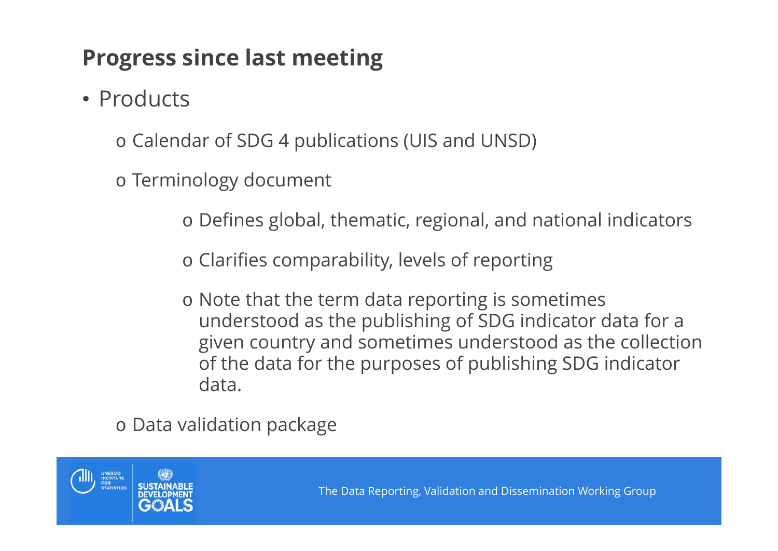# **Progress since last meeting**

• Products

o Calendar of SDG 4 publications (UIS and UNSD)

o Terminology document

o Defines global, thematic, regional, and national indicators

o Clarifies comparability, levels of reporting

o Note that the term data reporting is sometimes understood as the publishing of SDG indicator data for a given country and sometimes understood as the collection of the data for the purposes of publishing SDG indicator data.

o Data validation package

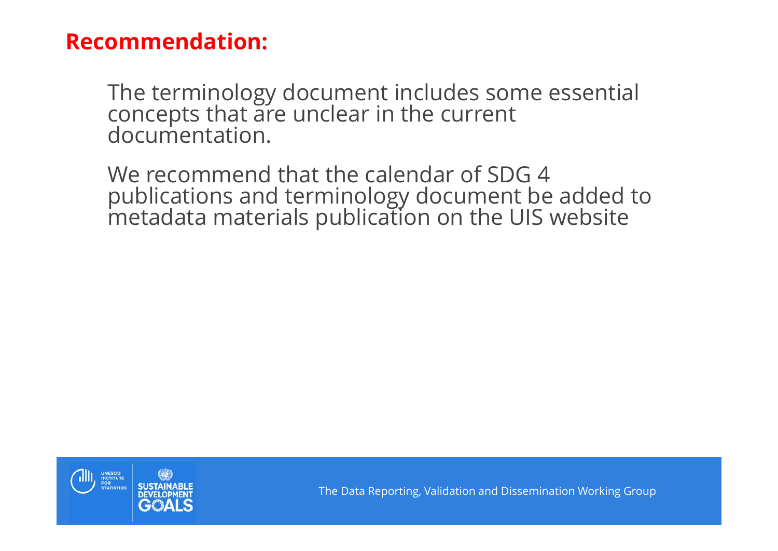#### **Recommendation:**

The terminology document includes some essential concepts that are unclear in the current documentation.

We recommend that the calendar of SDG 4 publications and terminology document be added to metadata materials publication on the UIS website

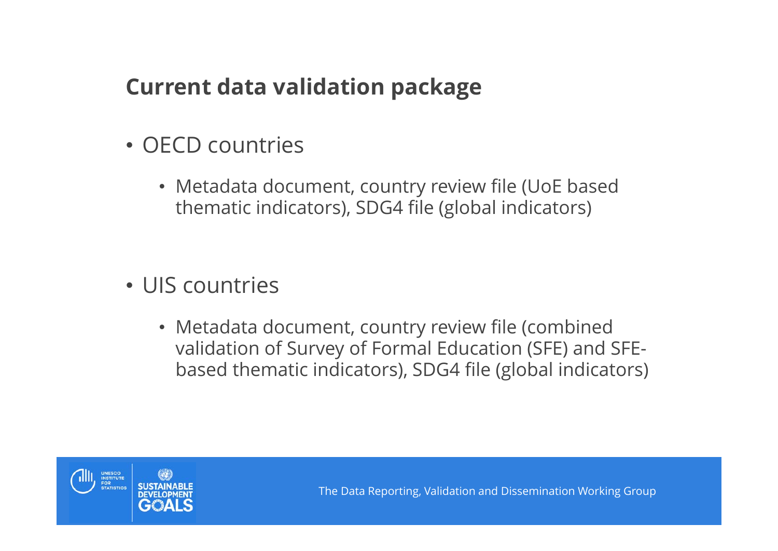# **Current data validation package**

- OECD countries
	- Metadata document, country review file (UoE based thematic indicators), SDG4 file (global indicators)
- UIS countries
	- Metadata document, country review file (combined validation of Survey of Formal Education (SFE) and SFEbased thematic indicators), SDG4 file (global indicators)

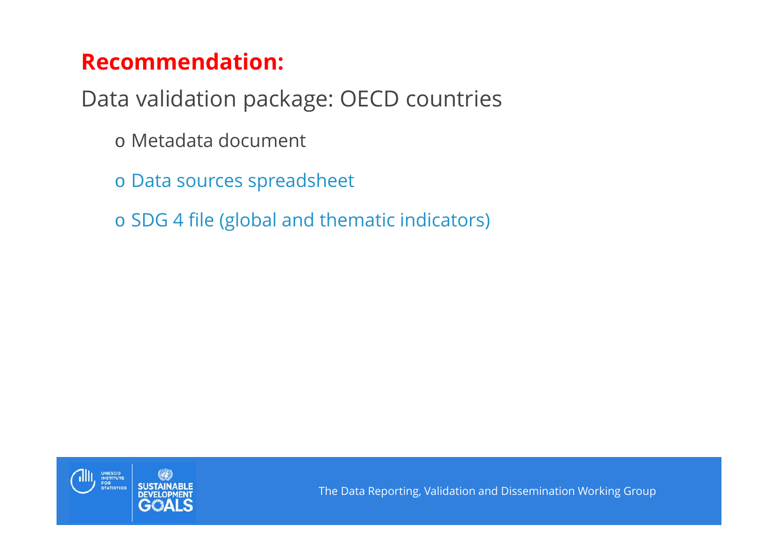# **Recommendation:**

Data validation package: OECD countries

- o Metadata document
- o Data sources spreadsheet
- o SDG 4 file (global and thematic indicators)

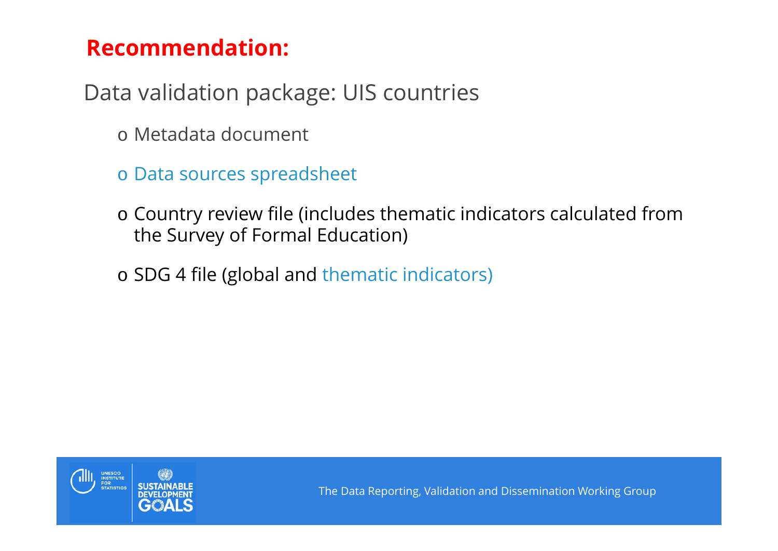# **Recommendation:**

Data validation package: UIS countries

- o Metadata document
- o Data sources spreadsheet
- o Country review file (includes thematic indicators calculated from the Survey of Formal Education)
- o SDG 4 file (global and thematic indicators)

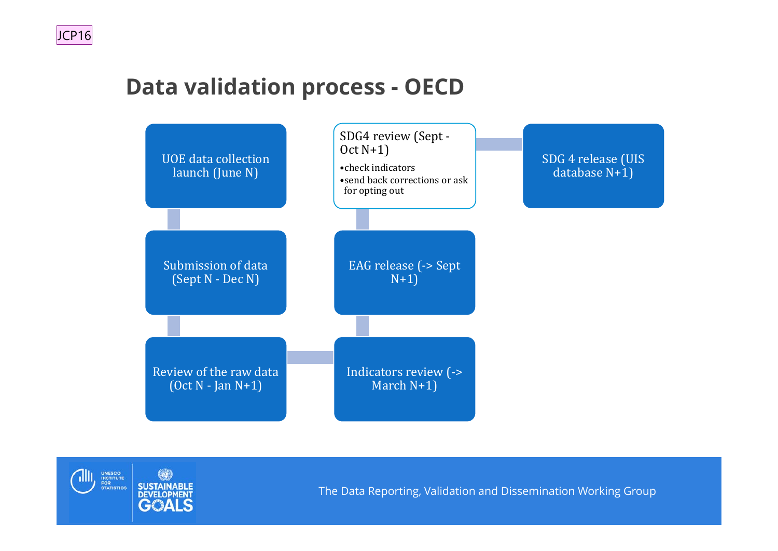# **Data validation process - OECD**



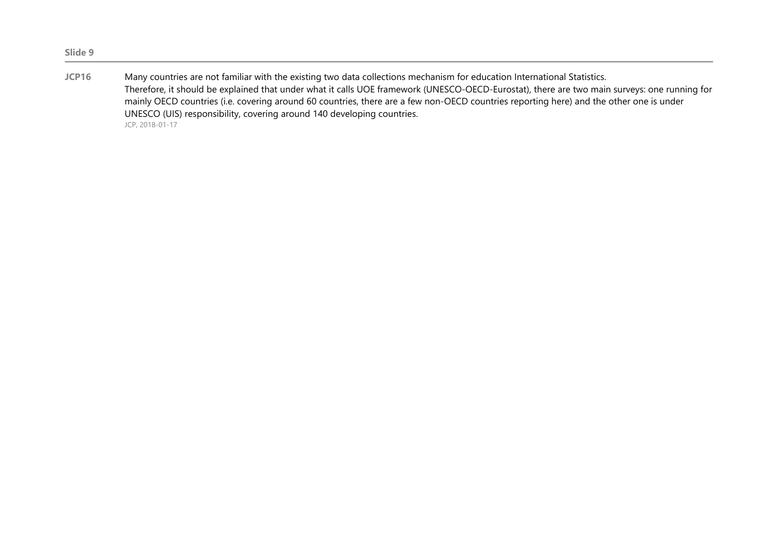| JCP16 | Many countries are not familiar with the existing two data collections mechanism for education International Statistics.                     |
|-------|----------------------------------------------------------------------------------------------------------------------------------------------|
|       | Therefore, it should be explained that under what it calls UOE framework (UNESCO-OECD-Eurostat), there are two main surveys: one running for |
|       | mainly OECD countries (i.e. covering around 60 countries, there are a few non-OECD countries reporting here) and the other one is under      |
|       | UNESCO (UIS) responsibility, covering around 140 developing countries.                                                                       |
|       | JCP, 2018-01-17                                                                                                                              |

**Slide 9**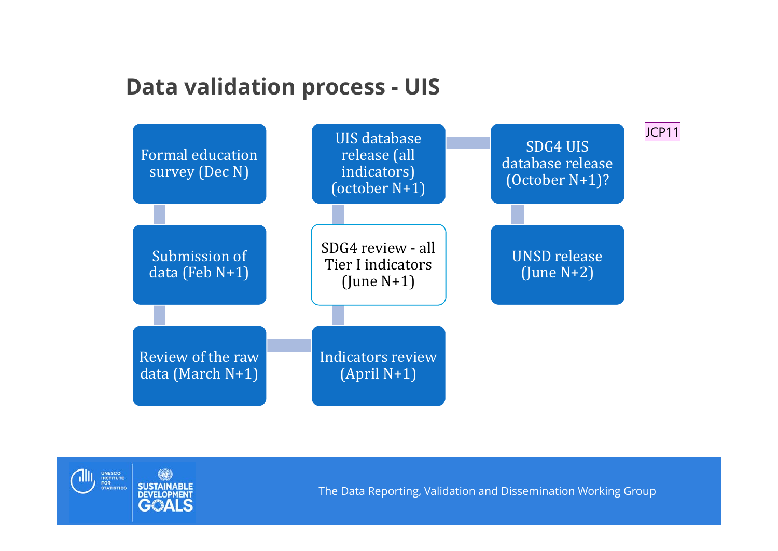## **Data validation process - UIS**



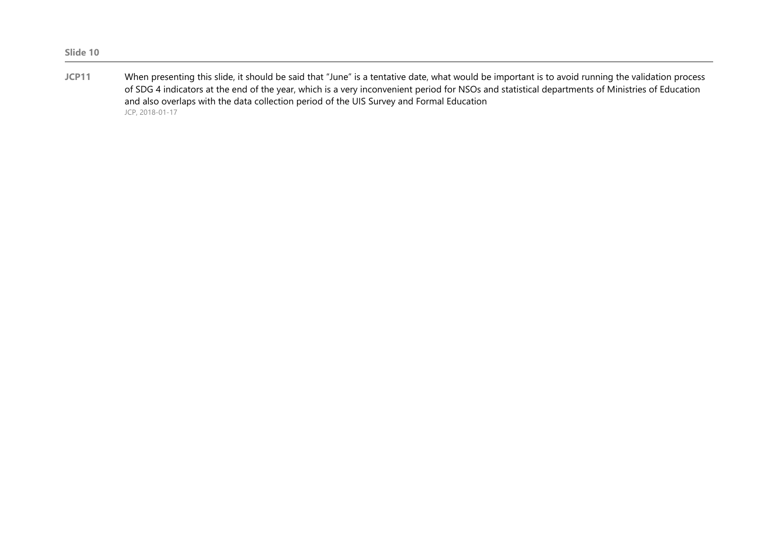**JCP11** When presenting this slide, it should be said that "June" is a tentative date, what would be important is to avoid running the validation process of SDG 4 indicators at the end of the year, which is a very inconvenient period for NSOs and statistical departments of Ministries of Education and also overlaps with the data collection period of the UIS Survey and Formal Education JCP, 2018-01-17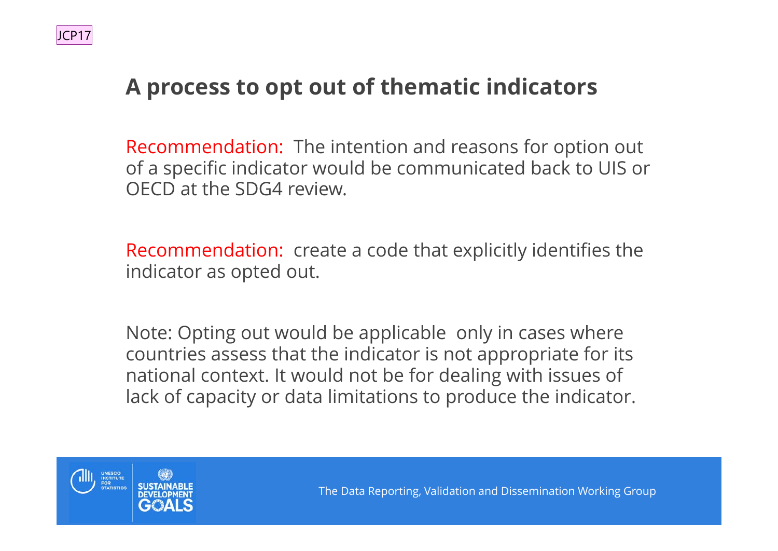# **A process to opt out of thematic indicators**

Recommendation: The intention and reasons for option out of a specific indicator would be communicated back to UIS or OECD at the SDG4 review.

Recommendation: create a code that explicitly identifies the indicator as opted out.

Note: Opting out would be applicable only in cases where countries assess that the indicator is not appropriate for its national context. It would not be for dealing with issues of lack of capacity or data limitations to produce the indicator.

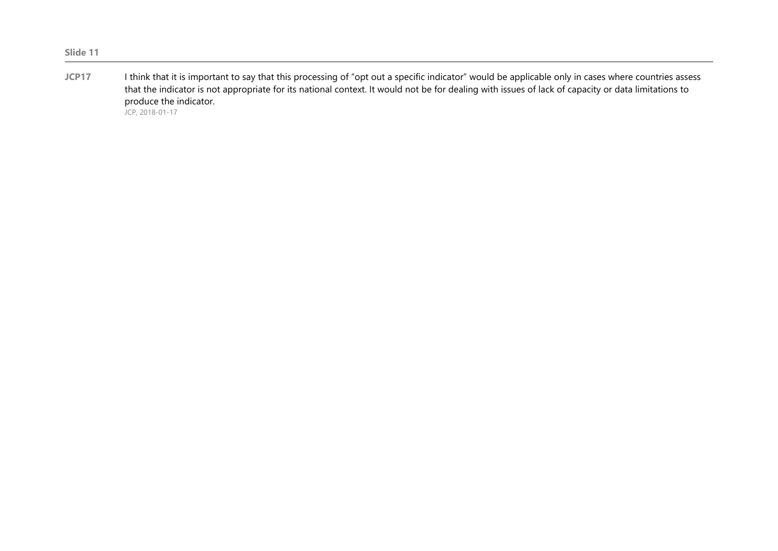#### **JCP17** I think that it is important to say that this processing of "opt out a specific indicator" would be applicable only in cases where countries assess that the indicator is not appropriate for its national context. It would not be for dealing with issues of lack of capacity or data limitations to produce the indicator.

JCP, 2018-01-17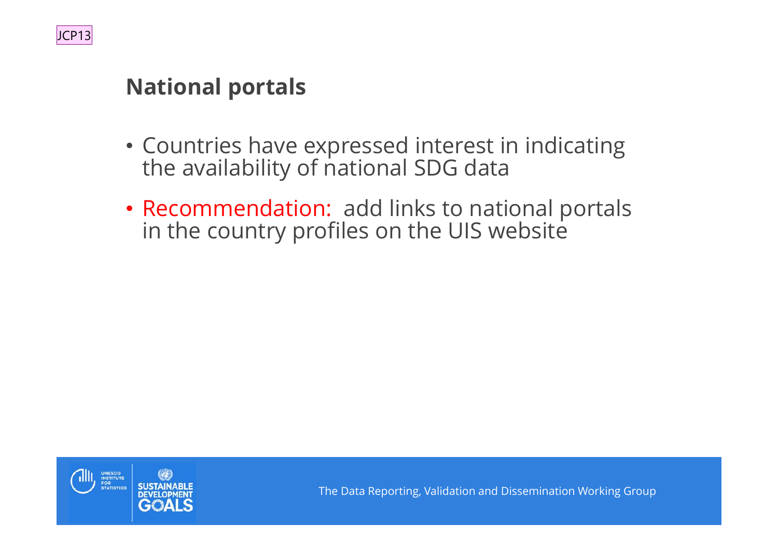

### **National portals**

- Countries have expressed interest in indicating the availability of national SDG data
- Recommendation: add links to national portals in the country profiles on the UIS website

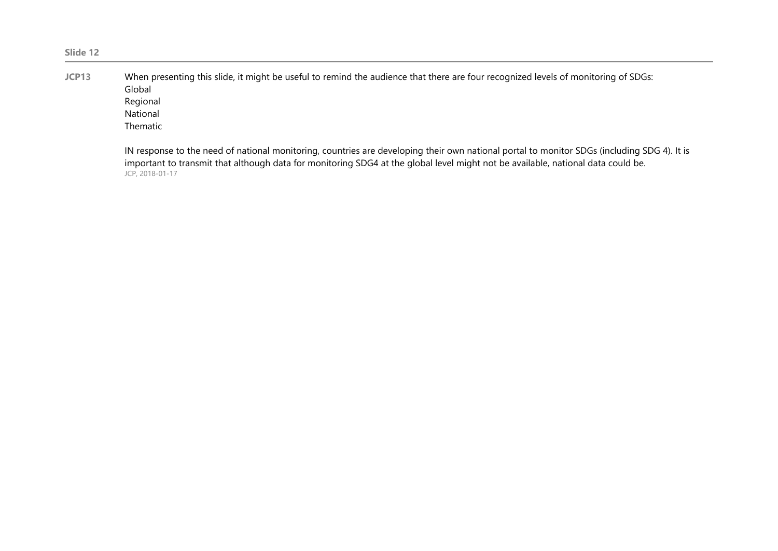**JCP13** When presenting this slide, it might be useful to remind the audience that there are four recognized levels of monitoring of SDGs: Global Regional National Thematic

> IN response to the need of national monitoring, countries are developing their own national portal to monitor SDGs (including SDG 4). It is important to transmit that although data for monitoring SDG4 at the global level might not be available, national data could be. JCP, 2018-01-17

#### **Slide 12**